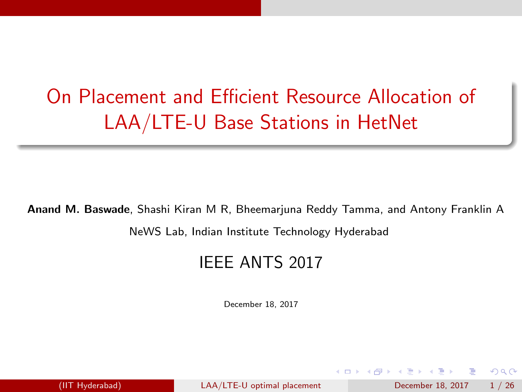# On Placement and Efficient Resource Allocation of LAA/LTE-U Base Stations in HetNet

#### Anand M. Baswade, Shashi Kiran M R, Bheemarjuna Reddy Tamma, and Antony Franklin A

NeWS Lab, Indian Institute Technology Hyderabad

#### IEEE ANTS 2017

December 18, 2017

<span id="page-0-0"></span> $QQ$ 

母 ト イヨ ト イヨ ト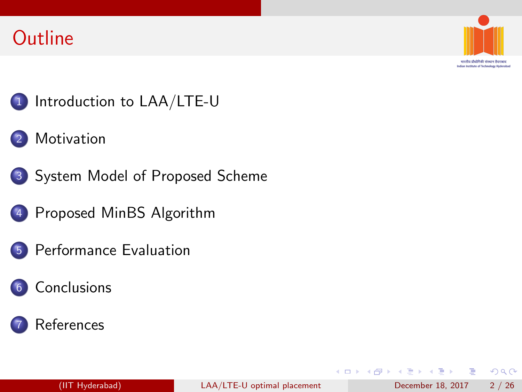#### **Outline**



भारतीय प्रौद्योगिकी संस्थान दिउराबाट Indian Institute of Technology Hyderabad

#### 1 [Introduction to LAA/LTE-U](#page-3-0)

- **[Motivation](#page-4-0)**
- 3 [System Model of Proposed Scheme](#page-8-0)
	- 4 [Proposed MinBS Algorithm](#page-10-0)
- 5 [Performance Evaluation](#page-17-0)
- **[Conclusions](#page-21-0)**



 $QQ$ 

÷

ミメスミメ

4 0 8

 $\rightarrow$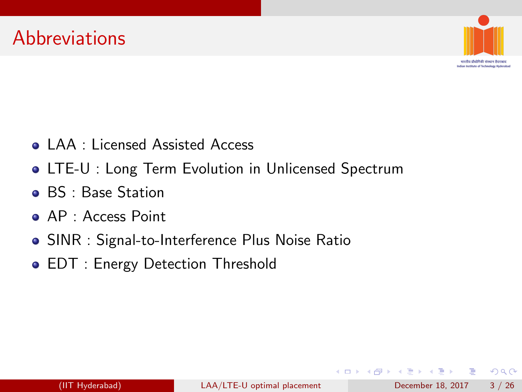

मारतीय प्रौद्योगिकी संस्थान हैद Indian Institute of Sechnology Hederabad

- LAA : Licensed Assisted Access
- LTE-U : Long Term Evolution in Unlicensed Spectrum
- **BS** : Base Station
- **AP** : Access Point
- SINR : Signal-to-Interference Plus Noise Ratio
- EDT : Energy Detection Threshold

÷

 $QQ$ 

ヨメ メヨメ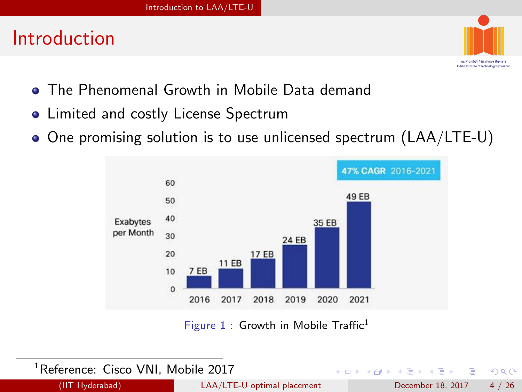#### Introduction



- **The Phenomenal Growth in Mobile Data demand**
- Limited and costly License Spectrum
- One promising solution is to use unlicensed spectrum (LAA/LTE-U)



Figure  $1$  : Growth in Mobile Traffic<sup>1</sup>

 $\leftarrow$ 

| <sup>1</sup> Reference: Cisco VNI, Mobile 2017 |  |  |  |  |
|------------------------------------------------|--|--|--|--|
|------------------------------------------------|--|--|--|--|

<span id="page-3-0"></span> $QQQ$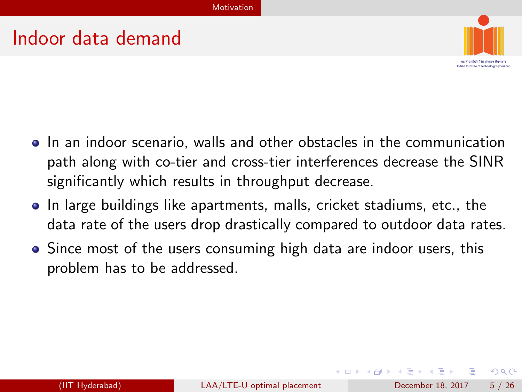#### Indoor data demand



- In an indoor scenario, walls and other obstacles in the communication path along with co-tier and cross-tier interferences decrease the SINR significantly which results in throughput decrease.
- In large buildings like apartments, malls, cricket stadiums, etc., the data rate of the users drop drastically compared to outdoor data rates.
- Since most of the users consuming high data are indoor users, this problem has to be addressed.

<span id="page-4-0"></span> $QQQ$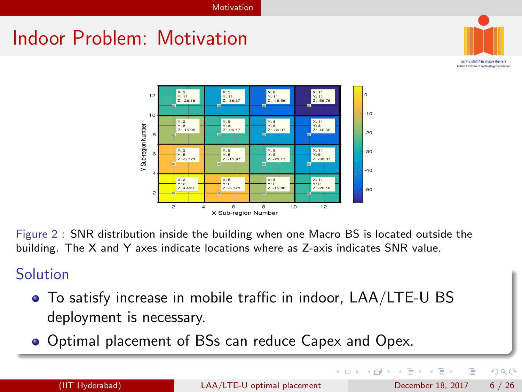### Indoor Problem: Motivation



मारतीय प्रौद्योगिकी संस्कान है: Indian Institute of Sychoology Hederabad



Figure 2 : SNR distribution inside the building when one Macro BS is located outside the building. The X and Y axes indicate locations where as Z-axis indicates SNR value.

#### Solution

- To satisfy increase in mobile traffic in indoor, LAA/LTE-U BS deployment is necessary.
- Optimal placement of BSs can reduce Capex and Opex.

4 D F

<span id="page-5-0"></span> $\leftarrow$   $\leftarrow$   $\leftarrow$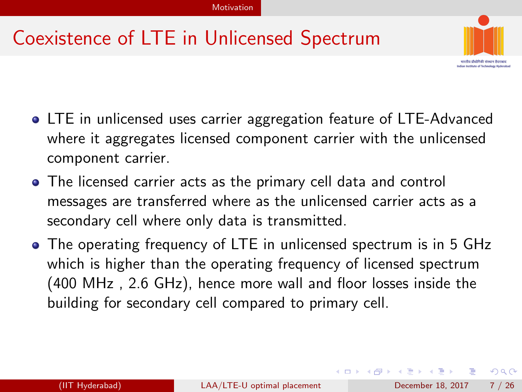### Coexistence of LTE in Unlicensed Spectrum



- LTE in unlicensed uses carrier aggregation feature of LTE-Advanced where it aggregates licensed component carrier with the unlicensed component carrier.
- The licensed carrier acts as the primary cell data and control messages are transferred where as the unlicensed carrier acts as a secondary cell where only data is transmitted.
- The operating frequency of LTE in unlicensed spectrum is in 5 GHz which is higher than the operating frequency of licensed spectrum (400 MHz , 2.6 GHz), hence more wall and floor losses inside the building for secondary cell compared to primary cell.

<span id="page-6-0"></span> $\Omega$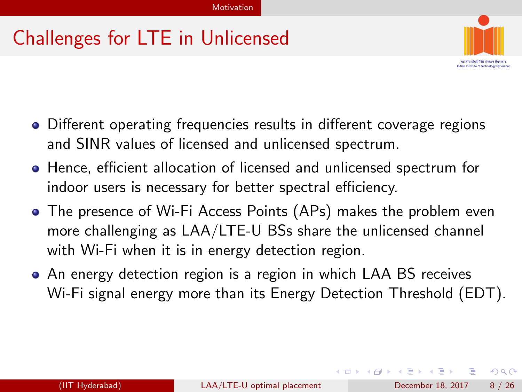### Challenges for LTE in Unlicensed



- Different operating frequencies results in different coverage regions and SINR values of licensed and unlicensed spectrum.
- Hence, efficient allocation of licensed and unlicensed spectrum for indoor users is necessary for better spectral efficiency.
- The presence of Wi-Fi Access Points (APs) makes the problem even more challenging as LAA/LTE-U BSs share the unlicensed channel with Wi-Fi when it is in energy detection region.
- An energy detection region is a region in which LAA BS receives Wi-Fi signal energy more than its Energy Detection Threshold (EDT).

<span id="page-7-0"></span> $QQ$ 

 $A \oplus B$   $A \oplus B$   $A \oplus B$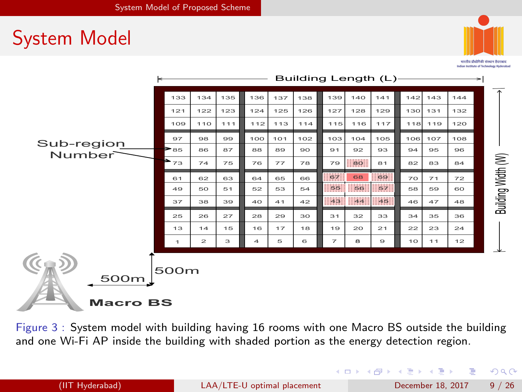### System Model



भारतीय प्रौद्योगिकी संस्थान दिउराबाट Indian Institute of Technology Hyderabad

|                         | Building Length (L)-<br>⇤           |              |     |     |     |     |                |               |          |     |         |     |                    |
|-------------------------|-------------------------------------|--------------|-----|-----|-----|-----|----------------|---------------|----------|-----|---------|-----|--------------------|
|                         | 133                                 | 134          | 135 | 136 | 137 | 138 | 139            | 140           | 141      | 142 | 143     | 144 |                    |
|                         | 121                                 | 122          | 123 | 124 | 125 | 126 | 127            | 128           | 129      | 130 | 131     | 132 |                    |
|                         | 109                                 | 110          | 111 | 112 | 113 | 114 | 115            | 116           | 117      |     | 118 119 | 120 |                    |
| Sub-region              | 97                                  | 98           | 99  | 100 | 101 | 102 | 103            | 104           | 105      | 106 | 107     | 108 |                    |
| Number                  | $\triangleright$ 85                 | 86           | 87  | 88  | 89  | 90  | 91             | 92            | 93       | 94  | 95      | 96  |                    |
|                         | $\blacktriangleright$ <sub>73</sub> | 74           | 75  | 76  | 77  | 78  | 79             | $\mathbf{BQ}$ | 81       | 82  | 83      | 84  | Building Width (W) |
|                         | 61                                  | 62           | 63  | 64  | 65  | 66  | $-67$          | 68            | : 69     | 70  | 71      | 72  |                    |
|                         | 49                                  | 50           | 51  | 52  | 53  | 54  | : 56           | : 56:         | :: 57:   | 58  | 59      | 60  |                    |
|                         | 37                                  | 38           | 39  | 40  | 41  | 42  |                | 33 43         | 1.46     | 46  | 47      | 48  |                    |
|                         | 25                                  | 26           | 27  | 28  | 29  | 30  | 31             | 32            | 33       | 34  | 35      | 36  |                    |
|                         | 13                                  | 14           | 15  | 16  | 17  | 18  | 19             | 20            | 21       | 22  | 23      | 24  |                    |
|                         | 1                                   | $\mathbf{z}$ | з   | 4   | 5   | 6   | $\overline{7}$ | 8             | $\Theta$ | 10  | 11      | 12  |                    |
| 500m<br><b>Macro BS</b> | 500m                                |              |     |     |     |     |                |               |          |     |         |     |                    |

Figure 3 : System model with building having 16 rooms with one Macro BS outside the building and one Wi-Fi AP inside the building with shaded portion as the energy detection region.

<span id="page-8-0"></span> $QQ$ 

イロト イ押ト イヨト イヨト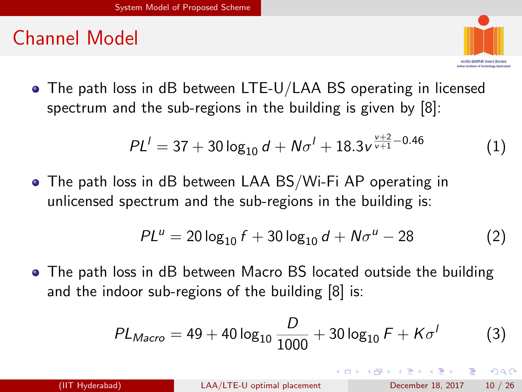### Channel Model



The path loss in dB between LTE-U/LAA BS operating in licensed spectrum and the sub-regions in the building is given by [8]:

$$
PL^{l} = 37 + 30 \log_{10} d + N\sigma^{l} + 18.3 v^{\frac{v+2}{v+1} - 0.46} \tag{1}
$$

The path loss in dB between LAA BS/Wi-Fi AP operating in unlicensed spectrum and the sub-regions in the building is:

$$
PL^u = 20 \log_{10} f + 30 \log_{10} d + N\sigma^u - 28 \tag{2}
$$

• The path loss in dB between Macro BS located outside the building and the indoor sub-regions of the building [8] is:

$$
PL_{Macco} = 49 + 40 \log_{10} \frac{D}{1000} + 30 \log_{10} F + K\sigma'
$$
 (3)

<span id="page-9-0"></span> $\Omega$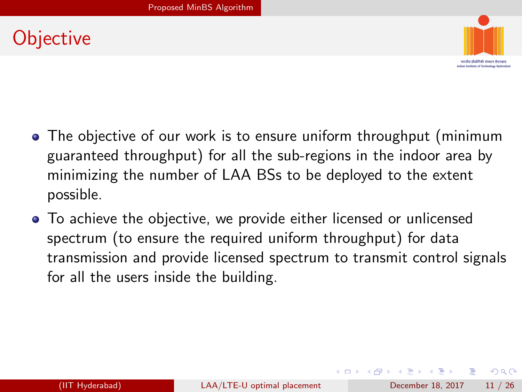### **Objective**



- The objective of our work is to ensure uniform throughput (minimum guaranteed throughput) for all the sub-regions in the indoor area by minimizing the number of LAA BSs to be deployed to the extent possible.
- To achieve the objective, we provide either licensed or unlicensed spectrum (to ensure the required uniform throughput) for data transmission and provide licensed spectrum to transmit control signals for all the users inside the building.

<span id="page-10-0"></span> $QQ$ 

∢何 ▶ ∢ ヨ ▶ ∢ ヨ ▶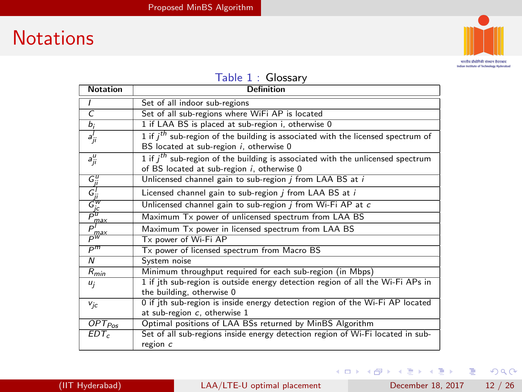#### **Notations**



भारतीय प्रौद्योगिकी संस्कृत हैदराबाद Indian Institute of Technology Hyderabad

#### Table 1 : Glossary

| <b>Notation</b>                                            | Definition                                                                                                                        |
|------------------------------------------------------------|-----------------------------------------------------------------------------------------------------------------------------------|
|                                                            | Set of all indoor sub-regions                                                                                                     |
| $\overline{C}$                                             | Set of all sub-regions where WiFi AP is located                                                                                   |
| b <sub>i</sub>                                             | 1 if LAA BS is placed at sub-region i, otherwise 0                                                                                |
| $a_{ji}^I$                                                 | 1 if $i^{th}$ sub-region of the building is associated with the licensed spectrum of<br>BS located at sub-region i, otherwise 0   |
| $a_{ji}^{\mu}$                                             | 1 if $i^{th}$ sub-region of the building is associated with the unlicensed spectrum<br>of BS located at sub-region i, otherwise 0 |
|                                                            | Unlicensed channel gain to sub-region j from LAA BS at i                                                                          |
| $\frac{G_{ji}^u}{G_{jc}^l}$<br>$\frac{G_{ji}^v}{G_{jc}^w}$ | Licensed channel gain to sub-region <i>j</i> from LAA BS at <i>i</i>                                                              |
|                                                            | Unlicensed channel gain to sub-region <i>i</i> from Wi-Fi AP at c                                                                 |
| $\frac{\bar{m}ax}{P}$                                      | Maximum Tx power of unlicensed spectrum from LAA BS                                                                               |
|                                                            | Maximum Tx power in licensed spectrum from LAA BS                                                                                 |
| − max<br>P                                                 | Tx power of Wi-Fi AP                                                                                                              |
| $P^m$                                                      | Tx power of licensed spectrum from Macro BS                                                                                       |
| $\overline{N}$                                             | System noise                                                                                                                      |
| $R_{min}$                                                  | Minimum throughput required for each sub-region (in Mbps)                                                                         |
| $u_i$                                                      | 1 if jth sub-region is outside energy detection region of all the Wi-Fi APs in<br>the building, otherwise 0                       |
| $v_{jc}$                                                   | 0 if ith sub-region is inside energy detection region of the Wi-Fi AP located<br>at sub-region c, otherwise 1                     |
| $\overline{OPT}_{Pos}$                                     | Optimal positions of LAA BSs returned by MinBS Algorithm                                                                          |
| $EDT_c$                                                    | Set of all sub-regions inside energy detection region of Wi-Fi located in sub-<br>region $c$                                      |

<span id="page-11-0"></span> $E = 990$ 

メロメ メ都 メメ きょくきょ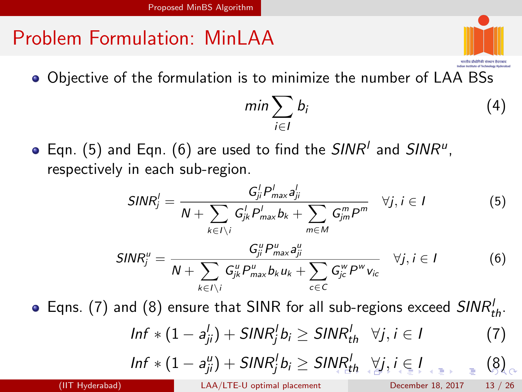# Problem Formulation: MinLAA

Objective of the formulation is to minimize the number of LAA BSs

<span id="page-12-5"></span>
$$
\min \sum_{i \in I} b_i \tag{4}
$$

<span id="page-12-0"></span>Indian Institute of Sechnology Hederals

Eqn. [\(5\)](#page-12-1) and Eqn. [\(6\)](#page-12-2) are used to find the  $\mathit{SINR}^{\mathit{l}}$  and  $\mathit{SINR}^{\mathit{u}}$ , respectively in each sub-region.

<span id="page-12-1"></span>
$$
SINR_j^l = \frac{G_{ji}^l P_{max}^l a_{ji}^l}{N + \sum_{k \in I \setminus i} G_{jk}^l P_{max}^l b_k + \sum_{m \in M} G_{jm}^m P^m} \quad \forall j, i \in I
$$
(5)  

$$
SINR_j^u = \frac{G_{ji}^u P_{max}^u a_{ji}^u}{N + \sum_{k \in I \setminus i} G_{jk}^u P_{max}^u b_k u_k + \sum_{c \in C} G_{jc}^w P^w v_{ic}} \quad \forall j, i \in I
$$
(6)

Eqns. [\(7\)](#page-12-3) and [\(8\)](#page-12-4) ensure that SINR for all sub-regions exceed  $\mathit{SINR}_{th}^{\prime}.$ 

<span id="page-12-2"></span>
$$
Inf * (1 - a'_{ji}) + SINR_j^l b_i \geq SINR_{th}^l \quad \forall j, i \in I
$$
 (7)

<span id="page-12-4"></span><span id="page-12-3"></span>
$$
\underline{\text{Inf}}\ast(1-a_{ji}^u)+\text{SINR}_j^l b_i\geq \text{SINR}_{i\text{th}}^l\ \forall j,i\in I\ \ \text{and}\ \ \text{[8]}_c
$$

(IIT Hyderabad) [LAA/LTE-U optimal placement](#page-0-0) December 18, 2017 13 / 26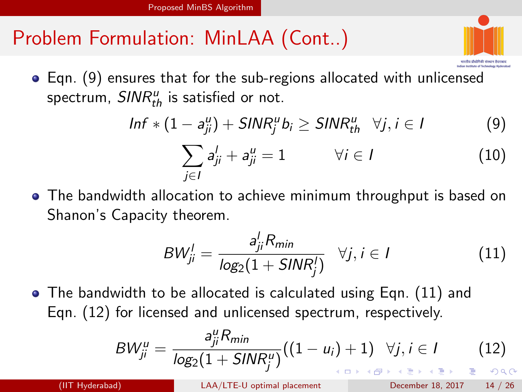# Problem Formulation: MinLAA (Cont..)



Eqn. [\(9\)](#page-13-1) ensures that for the sub-regions allocated with unlicensed spectrum,  $\mathit{SINR}_{th}^u$  is satisfied or not.

<span id="page-13-1"></span>
$$
Inf * (1 - a_{ji}^u) + SINR_j^u b_i \geq SINR_{th}^u \quad \forall j, i \in I
$$
 (9)

<span id="page-13-4"></span>
$$
\sum_{j\in I} a_{ji}^I + a_{ji}^u = 1 \qquad \forall i \in I \qquad (10)
$$

The bandwidth allocation to achieve minimum throughput is based on Shanon's Capacity theorem.

<span id="page-13-2"></span>
$$
BW_{ji}^l = \frac{a_{ji}^l R_{min}}{log_2(1 + SIMR_j^l)} \quad \forall j, i \in I
$$
 (11)

The bandwidth to be allocated is calculated using Eqn. [\(11\)](#page-13-2) and Eqn. [\(12\)](#page-13-3) for licensed and unlicensed spectrum, respectively.

<span id="page-13-3"></span>
$$
BW_{ji}^{u} = \frac{a_{ji}^{u} R_{min}}{log_2(1 + SIMR_j^{u})} ((1 - u_i) + 1) \quad \forall j, i \in I
$$
 (12)

(IIT Hyderabad) [LAA/LTE-U optimal placement](#page-0-0) December 18, 2017 14 / 26

<span id="page-13-0"></span>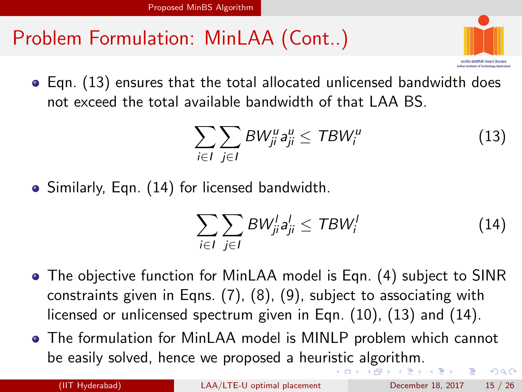# Problem Formulation: MinLAA (Cont..)



Eqn. [\(13\)](#page-14-1) ensures that the total allocated unlicensed bandwidth does not exceed the total available bandwidth of that LAA BS.

<span id="page-14-1"></span>
$$
\sum_{i\in I}\sum_{j\in I}BW_{ji}^u a_{ji}^u \le TBW_i^u \tag{13}
$$

Similarly, Eqn. [\(14\)](#page-14-2) for licensed bandwidth.

<span id="page-14-2"></span><span id="page-14-0"></span>
$$
\sum_{i\in I}\sum_{j\in I}BW_{ji}^{l}a_{ji}^{l}\leq TBW_{i}^{l}
$$
 (14)

- The objective function for MinLAA model is Eqn. [\(4\)](#page-12-5) subject to SINR constraints given in Eqns. [\(7\)](#page-12-3), [\(8\)](#page-12-4), [\(9\)](#page-13-1), subject to associating with licensed or unlicensed spectrum given in Eqn. [\(10\)](#page-13-4), [\(13\)](#page-14-1) and [\(14\)](#page-14-2).
- The formulation for MinLAA model is MINLP problem which cannot be easily solved, hence we proposed a heuri[sti](#page-13-0)[c a](#page-15-0)[l](#page-13-0)[go](#page-14-0)[ri](#page-15-0)[t](#page-9-0)[h](#page-10-0)[m](#page-16-0)[.](#page-17-0)  $QQ$

(IIT Hyderabad) [LAA/LTE-U optimal placement](#page-0-0) December 18, 2017 15 / 26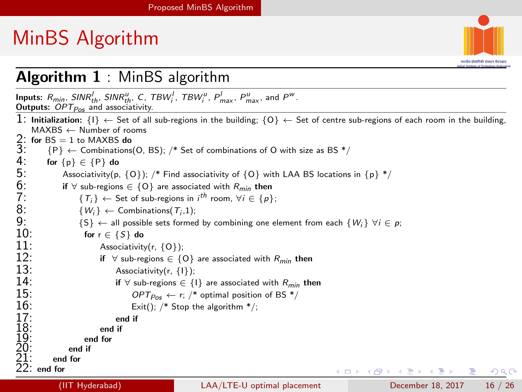# MinBS Algorithm

<span id="page-15-0"></span>

#### Algorithm 1 : MinBS algorithm

**Inputs:**  $R_{min}$ ,  $SINR_{th}^U$ ,  $SINR_{th}^u$ ,  $C$ ,  $TBW_i^U$ ,  $TBW_i^u$ ,  $P_{max}^U$ ,  $P_{max}^u$ , and  $P^w$ . Outputs:  $OPT_{Pos}$  and associativity. 1: Initialization:  $\{1\} \leftarrow$  Set of all sub-regions in the building;  $\{0\} \leftarrow$  Set of centre sub-regions of each room in the building, MAXBS ← Number of rooms 2: for BS = 1 to MAXBS do<br>
3:  $\{P\} \leftarrow$  Combinations<br>
4: for  $\{p\} \in \{P\}$  do<br>
5: Associativity (p, {<br>
5: if  $\forall$  sub-regions  $\in$ <br>
7:  $\{T_i\} \leftarrow$  Set of  ${P} \leftarrow$  Combinations(O, BS); /\* Set of combinations of O with size as BS \*/ for  $\{p\} \in \{P\}$  do Associativity(p,  ${O}$ ); /\* Find associativity of  ${O}$  with LAA BS locations in  ${p}$  \*/ if  $∀$  sub-regions  $∈$  {O} are associated with  $R_{min}$  then  $7: \t{T_i} \leftarrow$  Set of sub-regions in  $i^{th}$  room,  $\forall i \in \{p\};$ 9:  ${W_i}$  ← Combinations( $T_i$ ,1);<br>
9: {S} ← all possible sets formed by combining one element from each  ${W_i}$   $\forall i \in p$ ;<br>
10: for  $r \in {S}$  do 8:  $\{W_i\} \leftarrow \text{Combinations}(\mathcal{T}_i, 1);$ 10: for  $r \in \{S\}$  do  $11$ : 11: Associativity(r,  $\{0\}$ );<br>12: if  $\forall$  sub-regions  $\in \{0\}$ 12: if ∀ sub-regions ∈ {O} are associated with  $R_{min}$  then 13: Associativity(r. {1}): 13: Associativity(r, {1});<br>14: if  $\forall$  sub-regions  $\in$  { **14:** if ∀ sub-regions ∈ {1} are associated with  $R_{min}$  then<br>15:  $OPT_{Dec} \leftarrow r$ ; /\* optimal position of BS \*/ 15:  $OPT_{Pos} \leftarrow r;$  /\* optimal position of BS \*/<br>16: Exit(): /\* Stop the algorithm \*/: Exit():  $/*$  Stop the algorithm  $*/$ : 17: end if 18: end if 19: end for 20: end if 21: end for end for イロト イ押ト イヨト イヨト つへへ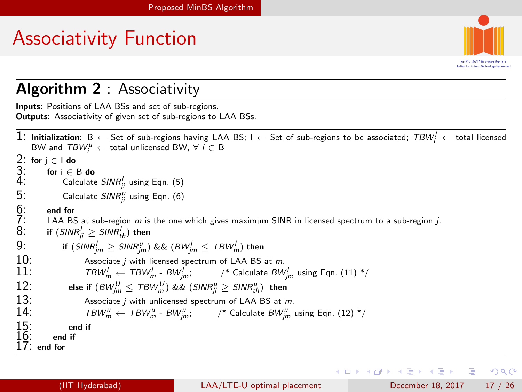# Associativity Function



Indian Institute of Sychoology Hederabad

<span id="page-16-0"></span> $\Omega$ 

#### Algorithm 2 : Associativity

Inputs: Positions of LAA BSs and set of sub-regions. Outputs: Associativity of given set of sub-regions to LAA BSs.

```
1: Initialization: B ← Set of sub-regions having LAA BS; I ← Set of sub-regions to be associated; \mathit{TBW}_i^l ← total licensed
     BW and \mathit{TBW}^u_i \leftarrow total unlicensed BW, \forall i \in B2: for j \in I do 3: for i \in 4: Cal
         for i \in B do
 4: Calculate \mathit{SINR}_{ji}^l(5)
 5: Calculate \mathit{SINR}_{ji}^u(6)
5: Cal<br>6: end for<br>7: LAA B:<br>8: if (SIN)
         LAA BS at sub-region m is the one which gives maximum SINR in licensed spectrum to a sub-region j.
 8\colon if (\mathit{SINR}_{ji}^l\geq \mathit{SINR}_{th}^l) then
 9: \qquad \qquad \text{if (SINR}_{jm}^{l} \geq \textit{SINR}_{jm}^{u}) \text{ \&\& } (\textit{BW}_{jm}^{l} \leq \textit{TBW}_{m}^{l}) \text{ then}10: Associate j with licensed spectrum of LAA BS at m.<br>11: TBW' \leftarrow TBW' - BW': /* Calculate BW
(11) } {}^* /12: else if (BW_{jm}^U \leq T B W_m^U) && (SINR_{ji}^u \geq SINR_{th}^u) then
13: Associate j with unlicensed spectrum of LAA BS at m.<br>14: TRW<sup>U</sup> = TRW<sup>U</sup> - RW<sup>U</sup> · <sup>*</sup> Calculate RW<sup>U</sup>
(12) */
15: end if
16: end if
      end for
```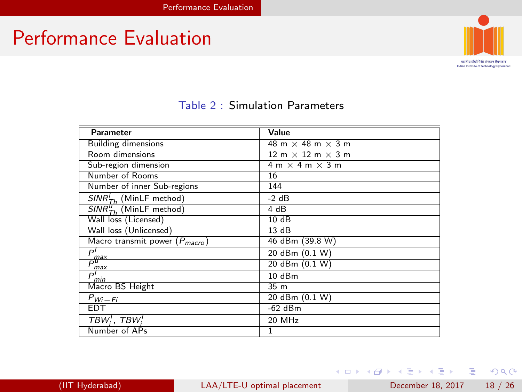### Performance Evaluation



अन्तीय प्रौद्योगिकी संस्कृत हैदराबाद Indian Institute of Technology Hyderabad

| Parameter                                 | Value                           |
|-------------------------------------------|---------------------------------|
| <b>Building dimensions</b>                | 48 m $\times$ 48 m $\times$ 3 m |
| Room dimensions                           | $12 m \times 12 m \times 3 m$   |
| Sub-region dimension                      | $4 m \times 4 m \times 3 m$     |
| Number of Rooms                           | 16                              |
| Number of inner Sub-regions               | 144                             |
| $SINR_{Th}^{I}$ (MinLF method)            | $-2$ dB                         |
| $SINR_{Th}^{\mathcal{U}}$ (MinLF method)  | 4 dB                            |
| Wall loss (Licensed)                      | 10dB                            |
| Wall loss (Unlicensed)                    | 13dB                            |
| Macro transmit power $(P_{macro})$        | 46 dBm (39.8 W)                 |
| рl                                        | 20 dBm (0.1 W)                  |
|                                           | 20 dBm (0.1 W)                  |
| $\frac{P_{\text{max}}}{P_{\text{max}}^l}$ | 10 dBm                          |
| Macro BS Height                           | 35 m                            |
| $P_{Wi-Fi}$                               | 20 dBm (0.1 W)                  |
| EDT                                       | $-62$ dBm                       |
| TBW <sup>1</sup> , TBW <sup>1</sup>       | 20 MHz                          |
| Number of APs                             | 1                               |

#### Table 2 : Simulation Parameters

(IIT Hyderabad) [LAA/LTE-U optimal placement](#page-0-0) December 18, 2017 18 / 26

イロト イ母 トイヨ トイヨト

<span id="page-17-0"></span> $2990$ 

造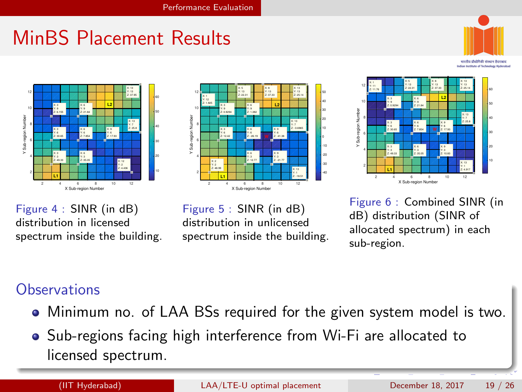# MinBS Placement Results



Indian Institute of Sechnology Hederabad



Figure 4 : SINR (in dB) distribution in licensed spectrum inside the building.



Figure 5 : SINR (in dB) distribution in unlicensed spectrum inside the building.



<span id="page-18-0"></span>Figure 6 : Combined SINR (in dB) distribution (SINR of allocated spectrum) in each sub-region.

#### **Observations**

- Minimum no. of LAA BSs required for the given system model is two.
- Sub-regions facing high interference from Wi-Fi are allocated to licensed spectrum.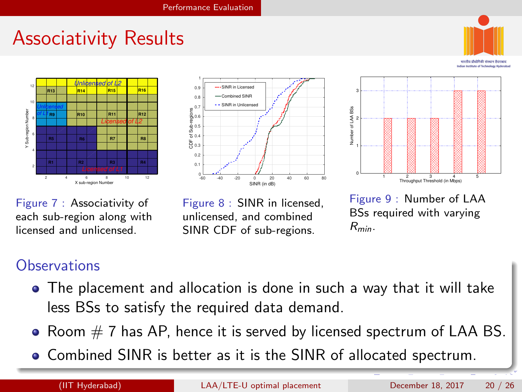### Associativity Results



मारतीय प्रौद्योगिकी संस्कान हैदर Indian Institute of Technology Hyderabad







Figure 7 : Associativity of each sub-region along with licensed and unlicensed.

Figure 8 : SINR in licensed, unlicensed, and combined SINR CDF of sub-regions.

<span id="page-19-0"></span>Figure 9 : Number of LAA BSs required with varying  $R_{min}$ .

#### **Observations**

- The placement and allocation is done in such a way that it will take less BSs to satisfy the required data demand.
- Room  $# 7$  has AP, hence it is served by licensed spectrum of LAA BS.
- Combined SINR is better as it is the SINR of allocated spectrum.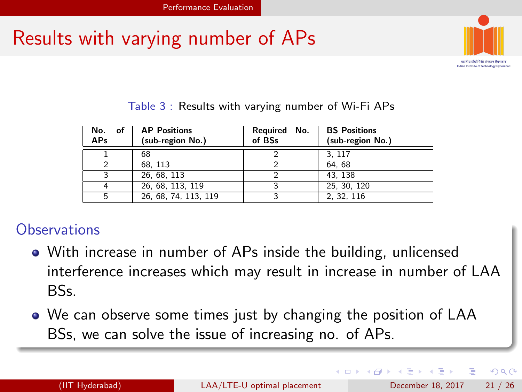### Results with varying number of APs



<span id="page-20-0"></span>Indian Institute of Sychoology Hederabad

| No. of<br><b>APs</b> | <b>AP Positions</b><br>(sub-region No.) | Required No.<br>of BSs | <b>BS</b> Positions<br>(sub-region No.) |
|----------------------|-----------------------------------------|------------------------|-----------------------------------------|
|                      | 68                                      |                        | 3.117                                   |
|                      | 68.113                                  |                        | 64.68                                   |
|                      | 26.68.113                               |                        | 43.138                                  |
| 4                    | 26, 68, 113, 119                        |                        | 25, 30, 120                             |
| 5                    | 26, 68, 74, 113, 119                    |                        | 2. 32. 116                              |

#### Table 3 : Results with varying number of Wi-Fi APs

#### **Observations**

- With increase in number of APs inside the building, unlicensed interference increases which may result in increase in number of LAA BSs.
- We can observe some times just by changing the position of LAA BSs, we can solve the issue of increasing no. of APs.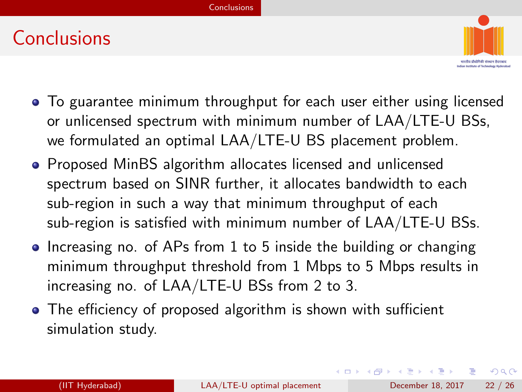### Conclusions



- To guarantee minimum throughput for each user either using licensed or unlicensed spectrum with minimum number of LAA/LTE-U BSs, we formulated an optimal LAA/LTE-U BS placement problem.
- Proposed MinBS algorithm allocates licensed and unlicensed spectrum based on SINR further, it allocates bandwidth to each sub-region in such a way that minimum throughput of each sub-region is satisfied with minimum number of LAA/LTE-U BSs.
- Increasing no. of APs from 1 to 5 inside the building or changing minimum throughput threshold from 1 Mbps to 5 Mbps results in increasing no. of LAA/LTE-U BSs from 2 to 3.
- The efficiency of proposed algorithm is shown with sufficient simulation study.

<span id="page-21-0"></span>→ 何 ▶ → ヨ ▶ → ヨ ▶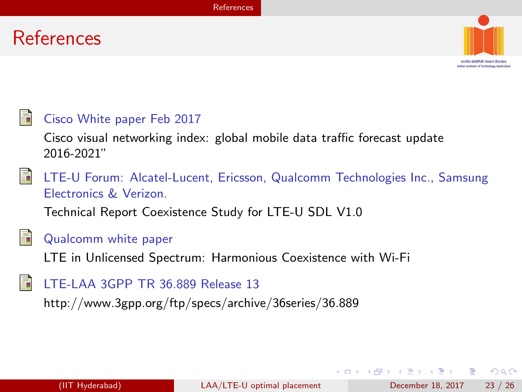#### References



<span id="page-22-0"></span>Indian Institute of Sychoology Hederabad



#### Cisco White paper Feb 2017

Cisco visual networking index: global mobile data traffic forecast update 2016-2021"



LTE-U Forum: Alcatel-Lucent, Ericsson, Qualcomm Technologies Inc., Samsung Electronics & Verizon.

Technical Report Coexistence Study for LTE-U SDL V1.0



#### Qualcomm white paper

LTE in Unlicensed Spectrum: Harmonious Coexistence with Wi-Fi

#### LTE-LAA 3GPP TR 36.889 Release 13

http://www.3gpp.org/ftp/specs/archive/36series/36.889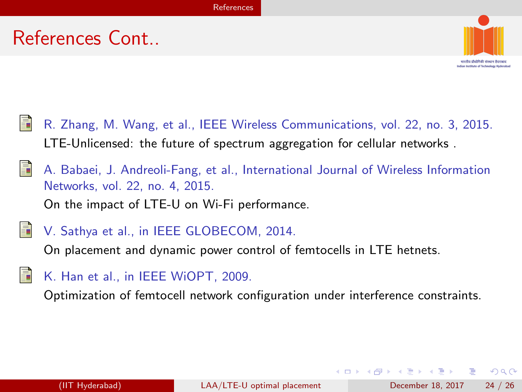### References Cont..

<span id="page-23-0"></span>

R. Zhang, M. Wang, et al., IEEE Wireless Communications, vol. 22, no. 3, 2015. LTE-Unlicensed: the future of spectrum aggregation for cellular networks .

A. Babaei, J. Andreoli-Fang, et al., International Journal of Wireless Information Networks, vol. 22, no. 4, 2015. On the impact of LTE-U on Wi-Fi performance.

V. Sathya et al., in IEEE GLOBECOM, 2014.

On placement and dynamic power control of femtocells in LTE hetnets.

- 
- K. Han et al., in IEEE WiOPT, 2009.

Optimization of femtocell network configuration under interference constraints.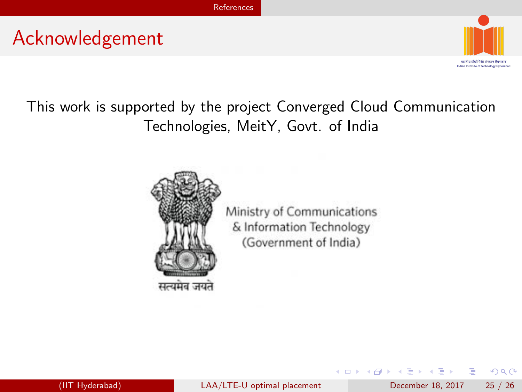#### Acknowledgement



<span id="page-24-0"></span> $QQ$ 

#### This work is supported by the project Converged Cloud Communication Technologies, MeitY, Govt. of India



Ministry of Communications & Information Technology (Government of India)

4 0 8

医前头面